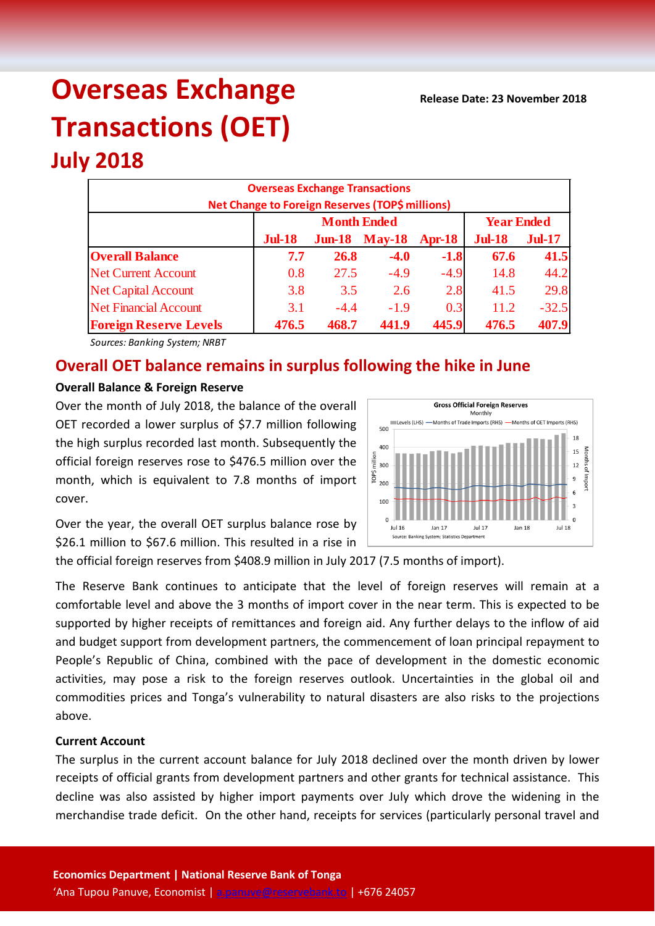# **Overseas Exchange Transactions (OET)**

## **July 2018**

| <b>Overseas Exchange Transactions</b><br><b>Net Change to Foreign Reserves (TOP\$ millions)</b> |               |        |                      |          |               |               |  |
|-------------------------------------------------------------------------------------------------|---------------|--------|----------------------|----------|---------------|---------------|--|
|                                                                                                 |               |        | <b>Year Ended</b>    |          |               |               |  |
|                                                                                                 | <b>Jul-18</b> |        | <b>Jun-18</b> May-18 | $Apr-18$ | <b>Jul-18</b> | <b>Jul-17</b> |  |
| <b>Overall Balance</b>                                                                          | 7.7           | 26.8   | $-4.0$               | $-1.8$   | 67.6          | 41.5          |  |
| <b>Net Current Account</b>                                                                      | 0.8           | 27.5   | $-4.9$               | $-4.9$   | 14.8          | 44.2          |  |
| <b>Net Capital Account</b>                                                                      | 3.8           | 3.5    | 2.6                  | 2.8      | 41.5          | 29.8          |  |
| <b>Net Financial Account</b>                                                                    | 3.1           | $-4.4$ | $-1.9$               | 0.3      | 11.2          | $-32.5$       |  |
| <b>Foreign Reserve Levels</b>                                                                   | 476.5         | 468.7  | 441.9                | 445.9    | 476.5         | 407.9         |  |

*Sources: Banking System; NRBT*

### **Overall OET balance remains in surplus following the hike in June**

#### **Overall Balance & Foreign Reserve**

Over the month of July 2018, the balance of the overall OET recorded a lower surplus of \$7.7 million following the high surplus recorded last month. Subsequently the official foreign reserves rose to \$476.5 million over the month, which is equivalent to 7.8 months of import cover.

Over the year, the overall OET surplus balance rose by \$26.1 million to \$67.6 million. This resulted in a rise in

the official foreign reserves from \$408.9 million in July 2017 (7.5 months of import).

The Reserve Bank continues to anticipate that the level of foreign reserves will remain at a comfortable level and above the 3 months of import cover in the near term. This is expected to be supported by higher receipts of remittances and foreign aid. Any further delays to the inflow of aid and budget support from development partners, the commencement of loan principal repayment to People's Republic of China, combined with the pace of development in the domestic economic activities, may pose a risk to the foreign reserves outlook. Uncertainties in the global oil and commodities prices and Tonga's vulnerability to natural disasters are also risks to the projections above.

#### **Current Account**

The surplus in the current account balance for July 2018 declined over the month driven by lower receipts of official grants from development partners and other grants for technical assistance. This decline was also assisted by higher import payments over July which drove the widening in the merchandise trade deficit. On the other hand, receipts for services (particularly personal travel and

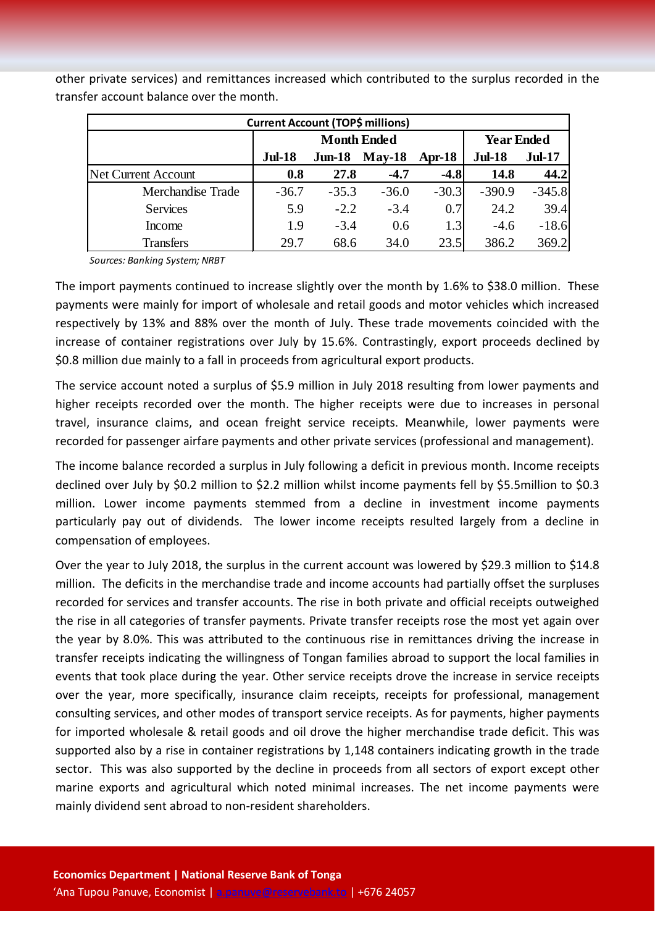| <b>Current Account (TOP\$ millions)</b> |                    |          |          |         |                   |               |  |
|-----------------------------------------|--------------------|----------|----------|---------|-------------------|---------------|--|
|                                         | <b>Month Ended</b> |          |          |         | <b>Year Ended</b> |               |  |
|                                         | <b>Jul-18</b>      | $Jun-18$ | $May-18$ | Apr-18  | <b>Jul-18</b>     | <b>Jul-17</b> |  |
| <b>Net Current Account</b>              | 0.8                | 27.8     | $-4.7$   | $-4.8$  | 14.8              | 44.2          |  |
| Merchandise Trade                       | $-36.7$            | $-35.3$  | $-36.0$  | $-30.3$ | $-390.9$          | $-345.8$      |  |
| <b>Services</b>                         | 5.9                | $-2.2$   | $-3.4$   | 0.7     | 24.2              | 39.4          |  |
| Income                                  | 1.9                | $-3.4$   | 0.6      | 1.3     | $-4.6$            | $-18.6$       |  |
| <b>Transfers</b>                        | 29.7               | 68.6     | 34.0     | 23.5    | 386.2             | 369.2         |  |

other private services) and remittances increased which contributed to the surplus recorded in the transfer account balance over the month.

*Sources: Banking System; NRBT*

The import payments continued to increase slightly over the month by 1.6% to \$38.0 million. These payments were mainly for import of wholesale and retail goods and motor vehicles which increased respectively by 13% and 88% over the month of July. These trade movements coincided with the increase of container registrations over July by 15.6%. Contrastingly, export proceeds declined by \$0.8 million due mainly to a fall in proceeds from agricultural export products.

The service account noted a surplus of \$5.9 million in July 2018 resulting from lower payments and higher receipts recorded over the month. The higher receipts were due to increases in personal travel, insurance claims, and ocean freight service receipts. Meanwhile, lower payments were recorded for passenger airfare payments and other private services (professional and management).

The income balance recorded a surplus in July following a deficit in previous month. Income receipts declined over July by \$0.2 million to \$2.2 million whilst income payments fell by \$5.5million to \$0.3 million. Lower income payments stemmed from a decline in investment income payments particularly pay out of dividends. The lower income receipts resulted largely from a decline in compensation of employees.

Over the year to July 2018, the surplus in the current account was lowered by \$29.3 million to \$14.8 million. The deficits in the merchandise trade and income accounts had partially offset the surpluses recorded for services and transfer accounts. The rise in both private and official receipts outweighed the rise in all categories of transfer payments. Private transfer receipts rose the most yet again over the year by 8.0%. This was attributed to the continuous rise in remittances driving the increase in transfer receipts indicating the willingness of Tongan families abroad to support the local families in events that took place during the year. Other service receipts drove the increase in service receipts over the year, more specifically, insurance claim receipts, receipts for professional, management consulting services, and other modes of transport service receipts. As for payments, higher payments for imported wholesale & retail goods and oil drove the higher merchandise trade deficit. This was supported also by a rise in container registrations by 1,148 containers indicating growth in the trade sector. This was also supported by the decline in proceeds from all sectors of export except other marine exports and agricultural which noted minimal increases. The net income payments were mainly dividend sent abroad to non-resident shareholders.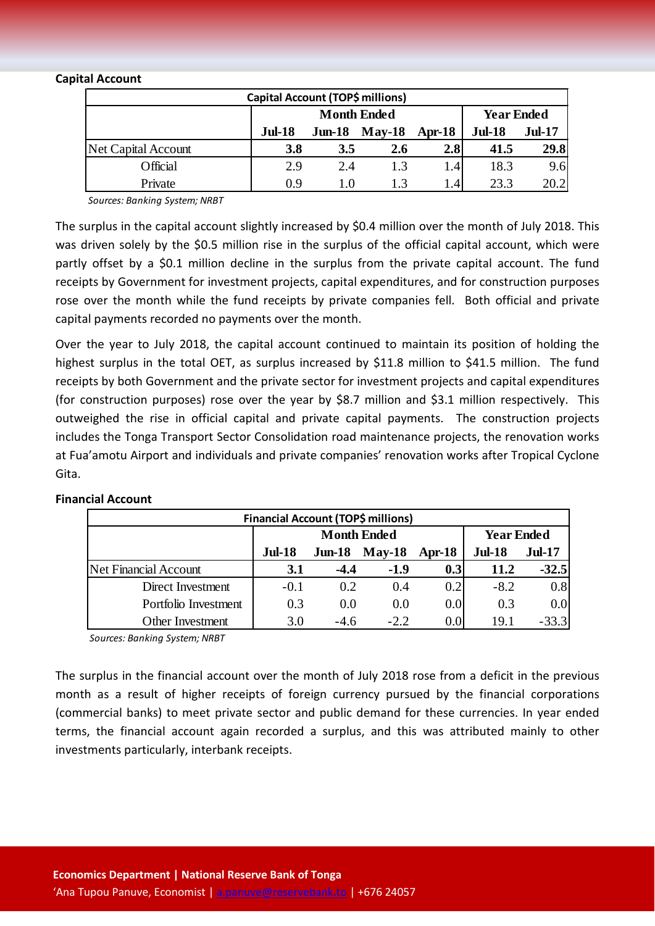#### **Capital Account**

| Capital Account (TOP\$ millions) |               |                    |                   |        |               |               |
|----------------------------------|---------------|--------------------|-------------------|--------|---------------|---------------|
|                                  |               | <b>Month Ended</b> | <b>Year Ended</b> |        |               |               |
|                                  | <b>Jul-18</b> | $J$ un-18          | <b>May-18</b>     | Apr-18 | <b>Jul-18</b> | <b>Jul-17</b> |
| Net Capital Account              | 3.8           | 3.5                | 2.6               | 2.8    | 41.5          | 29.8          |
| Official                         | 2.9           | 2.4                | 1.3               | 1.4    | 18.3          | 9.6           |
| Private                          | 0.9           | 1.0                | 1.3               | 1.41   | 23.3          | 20.2          |

*Sources: Banking System; NRBT*

The surplus in the capital account slightly increased by \$0.4 million over the month of July 2018. This was driven solely by the \$0.5 million rise in the surplus of the official capital account, which were partly offset by a \$0.1 million decline in the surplus from the private capital account. The fund receipts by Government for investment projects, capital expenditures, and for construction purposes rose over the month while the fund receipts by private companies fell. Both official and private capital payments recorded no payments over the month.

Over the year to July 2018, the capital account continued to maintain its position of holding the highest surplus in the total OET, as surplus increased by \$11.8 million to \$41.5 million. The fund receipts by both Government and the private sector for investment projects and capital expenditures (for construction purposes) rose over the year by \$8.7 million and \$3.1 million respectively. This outweighed the rise in official capital and private capital payments. The construction projects includes the Tonga Transport Sector Consolidation road maintenance projects, the renovation works at Fua'amotu Airport and individuals and private companies' renovation works after Tropical Cyclone Gita.

| <b>Financial Account (TOP\$ millions)</b> |               |                    |                   |               |               |               |  |
|-------------------------------------------|---------------|--------------------|-------------------|---------------|---------------|---------------|--|
|                                           |               | <b>Month Ended</b> | <b>Year Ended</b> |               |               |               |  |
|                                           | <b>Jul-18</b> | $Jun-18$           | <b>May-18</b>     | Apr- $18$     | <b>Jul-18</b> | <b>Jul-17</b> |  |
| Net Financial Account                     | 3.1           | $-4.4$             | $-1.9$            | 0.3           | 11.2          | $-32.5$       |  |
| Direct Investment                         | $-0.1$        | 0.2                | 0.4               | 0.2           | $-8.2$        | 0.8           |  |
| Portfolio Investment                      | 0.3           | 0.0                | 0.0               | 0.0           | 0.3           | 0.0           |  |
| Other Investment                          | 3.0           | $-4.6$             | $-2.2$            | $0.0^{\circ}$ | 19.1          | $-33.3$       |  |

#### **Financial Account**

*Sources: Banking System; NRBT*

The surplus in the financial account over the month of July 2018 rose from a deficit in the previous month as a result of higher receipts of foreign currency pursued by the financial corporations (commercial banks) to meet private sector and public demand for these currencies. In year ended terms, the financial account again recorded a surplus, and this was attributed mainly to other investments particularly, interbank receipts.